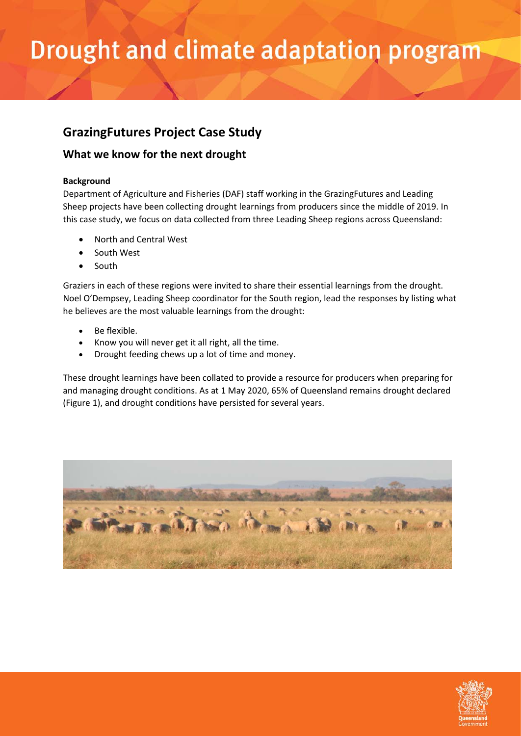# **GrazingFutures Project Case Study**

## **What we know for the next drought**

## **Background**

Department of Agriculture and Fisheries (DAF) staff working in the GrazingFutures and Leading Sheep projects have been collecting drought learnings from producers since the middle of 2019. In this case study, we focus on data collected from three Leading Sheep regions across Queensland:

- North and Central West
- South West
- South

Graziers in each of these regions were invited to share their essential learnings from the drought. Noel O'Dempsey, Leading Sheep coordinator for the South region, lead the responses by listing what he believes are the most valuable learnings from the drought:

- Be flexible.
- Know you will never get it all right, all the time.
- Drought feeding chews up a lot of time and money.

These drought learnings have been collated to provide a resource for producers when preparing for and managing drought conditions. As at 1 May 2020, 65% of Queensland remains drought declared (Figure 1), and drought conditions have persisted for several years.



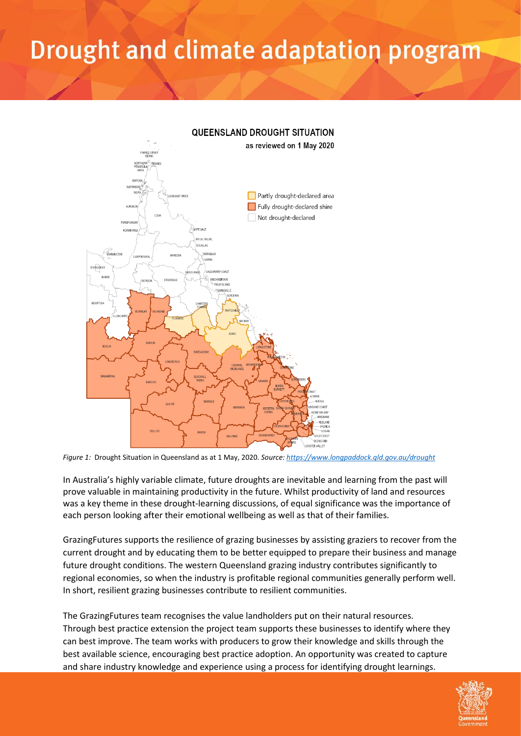

*Figure 1:* Drought Situation in Queensland as at 1 May, 2020. *Source[: https://www.longpaddock.qld.gov.au/drought](https://www.longpaddock.qld.gov.au/drought)*

In Australia's highly variable climate, future droughts are inevitable and learning from the past will prove valuable in maintaining productivity in the future. Whilst productivity of land and resources was a key theme in these drought-learning discussions, of equal significance was the importance of each person looking after their emotional wellbeing as well as that of their families.

GrazingFutures supports the resilience of grazing businesses by assisting graziers to recover from the current drought and by educating them to be better equipped to prepare their business and manage future drought conditions. The western Queensland grazing industry contributes significantly to regional economies, so when the industry is profitable regional communities generally perform well. In short, resilient grazing businesses contribute to resilient communities.

The GrazingFutures team recognises the value landholders put on their natural resources. Through best practice extension the project team supports these businesses to identify where they can best improve. The team works with producers to grow their knowledge and skills through the best available science, encouraging best practice adoption. An opportunity was created to capture and share industry knowledge and experience using a process for identifying drought learnings.

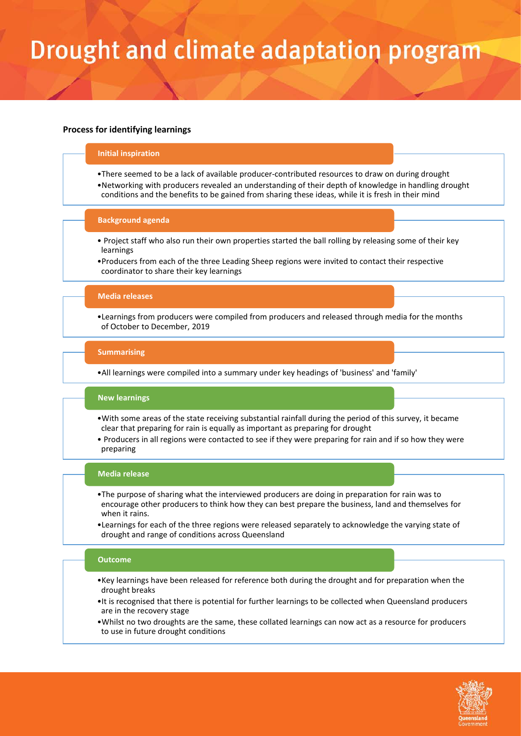### **Process for identifying learnings**

#### **Initial inspiration**

- •There seemed to be a lack of available producer-contributed resources to draw on during drought •Networking with producers revealed an understanding of their depth of knowledge in handling drought
- conditions and the benefits to be gained from sharing these ideas, while it is fresh in their mind

#### **Background agenda**

- Project staff who also run their own properties started the ball rolling by releasing some of their key learnings
- •Producers from each of the three Leading Sheep regions were invited to contact their respective coordinator to share their key learnings

#### **Media releases**

•Learnings from producers were compiled from producers and released through media for the months of October to December, 2019

#### **Summarising**

•All learnings were compiled into a summary under key headings of 'business' and 'family'

#### **New learnings**

- •With some areas of the state receiving substantial rainfall during the period of this survey, it became clear that preparing for rain is equally as important as preparing for drought
- Producers in all regions were contacted to see if they were preparing for rain and if so how they were preparing

#### **Media release**

- •The purpose of sharing what the interviewed producers are doing in preparation for rain was to encourage other producers to think how they can best prepare the business, land and themselves for when it rains.
- •Learnings for each of the three regions were released separately to acknowledge the varying state of drought and range of conditions across Queensland

#### **Outcome**

- •Key learnings have been released for reference both during the drought and for preparation when the drought breaks
- •It is recognised that there is potential for further learnings to be collected when Queensland producers are in the recovery stage
- •Whilst no two droughts are the same, these collated learnings can now act as a resource for producers to use in future drought conditions

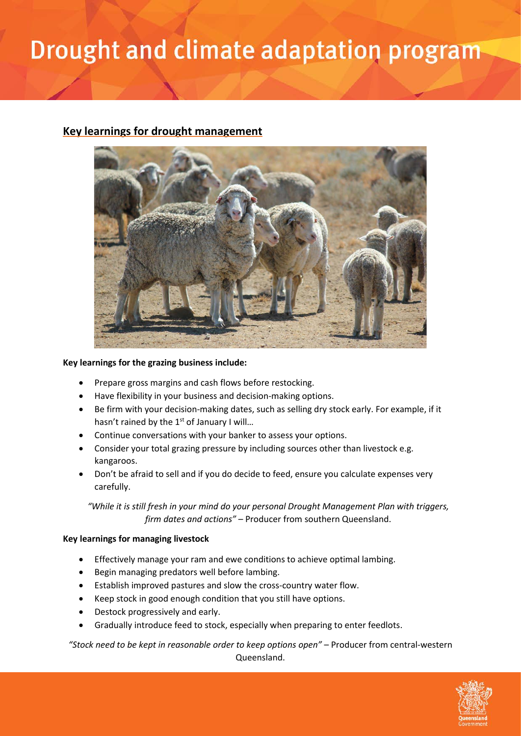## **Key learnings for drought management**



### **Key learnings for the grazing business include:**

- Prepare gross margins and cash flows before restocking.
- Have flexibility in your business and decision-making options.
- Be firm with your decision-making dates, such as selling dry stock early. For example, if it hasn't rained by the  $1<sup>st</sup>$  of January I will...
- Continue conversations with your banker to assess your options.
- Consider your total grazing pressure by including sources other than livestock e.g. kangaroos.
- Don't be afraid to sell and if you do decide to feed, ensure you calculate expenses very carefully.

*"While it is still fresh in your mind do your personal Drought Management Plan with triggers, firm dates and actions"* – Producer from southern Queensland.

### **Key learnings for managing livestock**

- Effectively manage your ram and ewe conditions to achieve optimal lambing.
- Begin managing predators well before lambing.
- Establish improved pastures and slow the cross-country water flow.
- Keep stock in good enough condition that you still have options.
- Destock progressively and early.
- Gradually introduce feed to stock, especially when preparing to enter feedlots.

*"Stock need to be kept in reasonable order to keep options open"* – Producer from central-western Queensland.

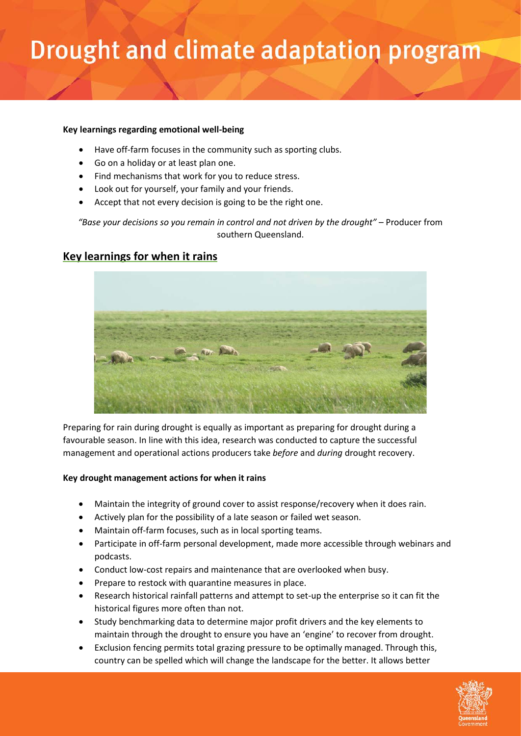### **Key learnings regarding emotional well-being**

- Have off-farm focuses in the community such as sporting clubs.
- Go on a holiday or at least plan one.
- Find mechanisms that work for you to reduce stress.
- Look out for yourself, your family and your friends.
- Accept that not every decision is going to be the right one.

*"Base your decisions so you remain in control and not driven by the drought"* – Producer from southern Queensland.

## **Key learnings for when it rains**



Preparing for rain during drought is equally as important as preparing for drought during a favourable season. In line with this idea, research was conducted to capture the successful management and operational actions producers take *before* and *during* drought recovery.

### **Key drought management actions for when it rains**

- Maintain the integrity of ground cover to assist response/recovery when it does rain.
- Actively plan for the possibility of a late season or failed wet season.
- Maintain off-farm focuses, such as in local sporting teams.
- Participate in off-farm personal development, made more accessible through webinars and podcasts.
- Conduct low-cost repairs and maintenance that are overlooked when busy.
- Prepare to restock with quarantine measures in place.
- Research historical rainfall patterns and attempt to set-up the enterprise so it can fit the historical figures more often than not.
- Study benchmarking data to determine major profit drivers and the key elements to maintain through the drought to ensure you have an 'engine' to recover from drought.
- Exclusion fencing permits total grazing pressure to be optimally managed. Through this, country can be spelled which will change the landscape for the better. It allows better